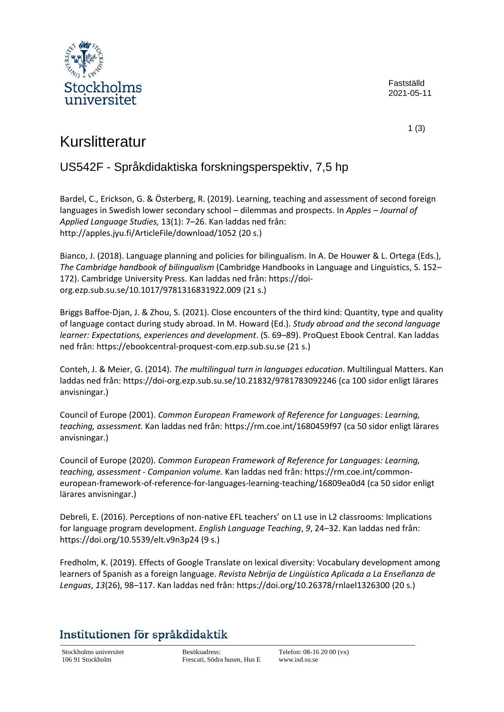

Fastställd 2021-05-11

1 (3)

# Kurslitteratur

### US542F - Språkdidaktiska forskningsperspektiv, 7,5 hp

Bardel, C., Erickson, G. & Österberg, R. (2019). Learning, teaching and assessment of second foreign languages in Swedish lower secondary school – dilemmas and prospects. In *Apples – Journal of Applied Language Studies,* 13(1): 7–26. Kan laddas ned från: <http://apples.jyu.fi/ArticleFile/download/1052> (20 s.)

Bianco, J. (2018). Language planning and policies for bilingualism. In A. De Houwer & L. Ortega (Eds.), *The Cambridge handbook of bilingualism* (Cambridge Handbooks in Language and Linguistics, S. 152– 172). Cambridge University Press. Kan laddas ned från: [https://doi](https://doi-org.ezp.sub.su.se/10.1017/9781316831922.009)[org.ezp.sub.su.se/10.1017/9781316831922.009](https://doi-org.ezp.sub.su.se/10.1017/9781316831922.009) (21 s.)

Briggs Baffoe-Djan, J. & Zhou, S. (2021). Close encounters of the third kind: Quantity, type and quality of language contact during study abroad. In M. Howard (Ed.). *Study abroad and the second language learner: Expectations, experiences and development*. (S. 69–89). ProQuest Ebook Central. Kan laddas ned från: [https://ebookcentral-proquest-com.ezp.sub.su.se](https://ebookcentral-proquest-com.ezp.sub.su.se/) (21 s.)

Conteh, J. & Meier, G. (2014). *The multilingual turn in languages education*. Multilingual Matters. Kan laddas ned från: <https://doi-org.ezp.sub.su.se/10.21832/9781783092246> (ca 100 sidor enligt lärares anvisningar.)

Council of Europe (2001). *Common European Framework of Reference for Languages: Learning, teaching, assessment.* Kan laddas ned från: <https://rm.coe.int/1680459f97> (ca 50 sidor enligt lärares anvisningar.)

Council of Europe (2020). *Common European Framework of Reference for Languages: Learning, teaching, assessment - Companion volume.* Kan laddas ned från: [https://rm.coe.int/common](https://rm.coe.int/common-european-framework-of-reference-for-languages-learning-teaching/16809ea0d4)[european-framework-of-reference-for-languages-learning-teaching/16809ea0d4](https://rm.coe.int/common-european-framework-of-reference-for-languages-learning-teaching/16809ea0d4) (ca 50 sidor enligt lärares anvisningar.)

Debreli, E. (2016). Perceptions of non-native EFL teachers' on L1 use in L2 classrooms: Implications for language program development. *English Language Teaching*, *9*, 24–32. Kan laddas ned från: <https://doi.org/10.5539/elt.v9n3p24> (9 s.)

Fredholm, K. (2019). Effects of Google Translate on lexical diversity: Vocabulary development among learners of Spanish as a foreign language. *Revista Nebrija de Lingüística Aplicada a La Enseñanza de Lenguas*, *13*(26), 98–117. Kan laddas ned från: <https://doi.org/10.26378/rnlael1326300> (20 s.)

## Institutionen för språkdidaktik

Stockholms universitet Besöksadress: Telefon: 08-16 20 00 (vx)<br>106 91 Stockholm Frescati, Södra husen, Hus E www.isd.su.se Frescati, Södra husen, Hus E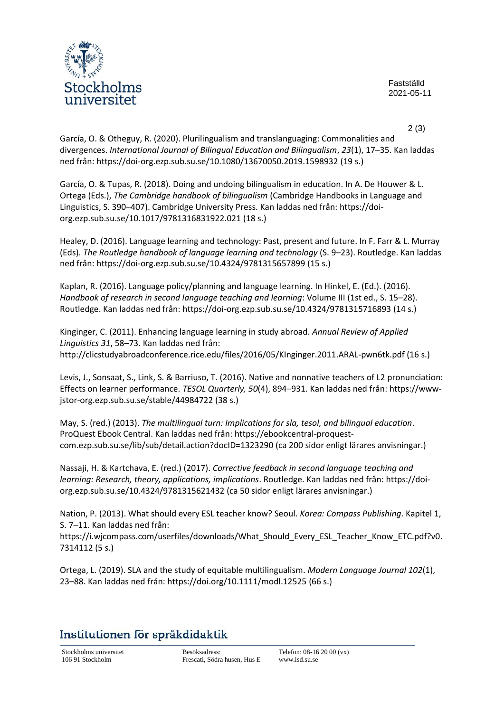

Fastställd 2021-05-11

2 (3)

García, O. & Otheguy, R. (2020). Plurilingualism and translanguaging: Commonalities and divergences. *International Journal of Bilingual Education and Bilingualism*, *23*(1), 17–35. Kan laddas ned från: <https://doi-org.ezp.sub.su.se/10.1080/13670050.2019.1598932> (19 s.)

García, O. & Tupas, R. (2018). Doing and undoing bilingualism in education. In A. De Houwer & L. Ortega (Eds.), *The Cambridge handbook of bilingualism* (Cambridge Handbooks in Language and Linguistics, S. 390–407). Cambridge University Press. Kan laddas ned från: [https://doi](https://doi-org.ezp.sub.su.se/10.1017/9781316831922.021)[org.ezp.sub.su.se/10.1017/9781316831922.021](https://doi-org.ezp.sub.su.se/10.1017/9781316831922.021) (18 s.)

Healey, D. (2016). Language learning and technology: Past, present and future. In F. Farr & L. Murray (Eds). *The Routledge handbook of language learning and technology* (S. 9–23). Routledge. Kan laddas ned från: <https://doi-org.ezp.sub.su.se/10.4324/9781315657899> (15 s.)

Kaplan, R. (2016). Language policy/planning and language learning. In Hinkel, E. (Ed.). (2016). *Handbook of research in second language teaching and learning*: Volume III (1st ed., S. 15–28). Routledge. Kan laddas ned från: <https://doi-org.ezp.sub.su.se/10.4324/9781315716893> (14 s.)

Kinginger, C. (2011). Enhancing language learning in study abroad. *Annual Review of Applied Linguistics 31*, 58–73. Kan laddas ned från: <http://clicstudyabroadconference.rice.edu/files/2016/05/KInginger.2011.ARAL-pwn6tk.pdf> (16 s.)

Levis, J., Sonsaat, S., Link, S. & Barriuso, T. (2016). Native and nonnative teachers of L2 pronunciation: Effects on learner performance. *TESOL Quarterly, 50*(4), 894–931. Kan laddas ned från: [https://www](https://www-jstor-org.ezp.sub.su.se/stable/44984722)[jstor-org.ezp.sub.su.se/stable/44984722](https://www-jstor-org.ezp.sub.su.se/stable/44984722) (38 s.)

May, S. (red.) (2013). *The multilingual turn: Implications for sla, tesol, and bilingual education*. ProQuest Ebook Central. Kan laddas ned från: [https://ebookcentral-proquest](https://ebookcentral-proquest-com.ezp.sub.su.se/lib/sub/detail.action?docID=1323290)[com.ezp.sub.su.se/lib/sub/detail.action?docID=1323290](https://ebookcentral-proquest-com.ezp.sub.su.se/lib/sub/detail.action?docID=1323290) (ca 200 sidor enligt lärares anvisningar.)

Nassaji, H. & Kartchava, E. (red.) (2017). *Corrective feedback in second language teaching and learning: Research, theory, applications, implications*. Routledge. Kan laddas ned från: [https://doi](https://doi-org.ezp.sub.su.se/10.4324/9781315621432)[org.ezp.sub.su.se/10.4324/9781315621432](https://doi-org.ezp.sub.su.se/10.4324/9781315621432) (ca 50 sidor enligt lärares anvisningar.)

Nation, P. (2013). What should every ESL teacher know? Seoul. *Korea: Compass Publishing*. Kapitel 1, S. 7–11. Kan laddas ned från:

[https://i.wjcompass.com/userfiles/downloads/What\\_Should\\_Every\\_ESL\\_Teacher\\_Know\\_ETC.pdf?v0.](https://i.wjcompass.com/userfiles/downloads/What_Should_Every_ESL_Teacher_Know_ETC.pdf?v0.7314112) [7314112](https://i.wjcompass.com/userfiles/downloads/What_Should_Every_ESL_Teacher_Know_ETC.pdf?v0.7314112) (5 s.)

Ortega, L. (2019). SLA and the study of equitable multilingualism. *Modern Language Journal 102*(1), 23–88. Kan laddas ned från: <https://doi.org/10.1111/modl.12525> (66 s.)

## Institutionen för språkdidaktik